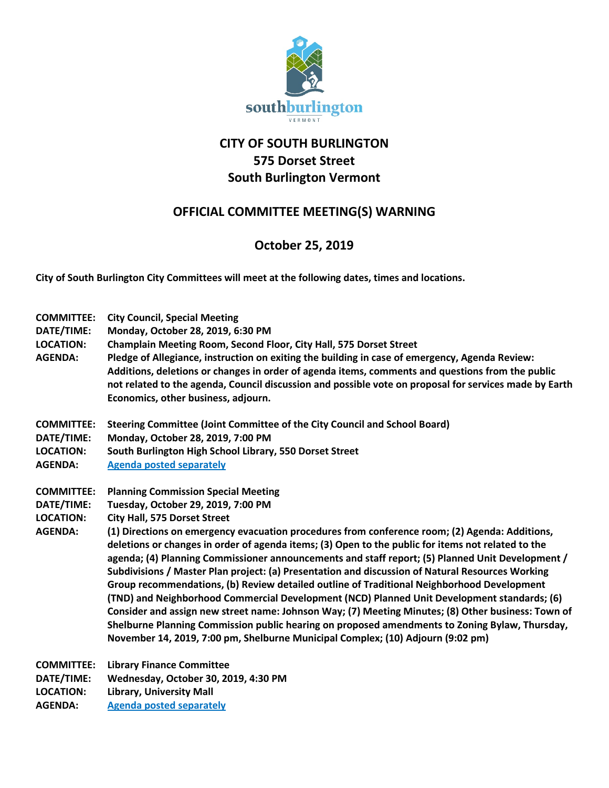

## **CITY OF SOUTH BURLINGTON 575 Dorset Street South Burlington Vermont**

## **OFFICIAL COMMITTEE MEETING(S) WARNING**

## **October 25, 2019**

**City of South Burlington City Committees will meet at the following dates, times and locations.** 

**COMMITTEE: City Council, Special Meeting DATE/TIME: Monday, October 28, 2019, 6:30 PM LOCATION: Champlain Meeting Room, Second Floor, City Hall, 575 Dorset Street AGENDA: Pledge of Allegiance, instruction on exiting the building in case of emergency, Agenda Review: Additions, deletions or changes in order of agenda items, comments and questions from the public not related to the agenda, Council discussion and possible vote on proposal for services made by Earth Economics, other business, adjourn. COMMITTEE: Steering Committee (Joint Committee of the City Council and School Board) DATE/TIME: Monday, October 28, 2019, 7:00 PM LOCATION: South Burlington High School Library, 550 Dorset Street AGENDA: Agenda posted separately COMMITTEE: Planning Commission Special Meeting DATE/TIME: Tuesday, October 29, 2019, 7:00 PM LOCATION: City Hall, 575 Dorset Street AGENDA: (1) Directions on emergency evacuation procedures from conference room; (2) Agenda: Additions, deletions or changes in order of agenda items; (3) Open to the public for items not related to the agenda; (4) Planning Commissioner announcements and staff report; (5) Planned Unit Development / Subdivisions / Master Plan project: (a) Presentation and discussion of Natural Resources Working Group recommendations, (b) Review detailed outline of Traditional Neighborhood Development (TND) and Neighborhood Commercial Development (NCD) Planned Unit Development standards; (6) Consider and assign new street name: Johnson Way; (7) Meeting Minutes; (8) Other business: Town of Shelburne Planning Commission public hearing on proposed amendments to Zoning Bylaw, Thursday, November 14, 2019, 7:00 pm, Shelburne Municipal Complex; (10) Adjourn (9:02 pm) COMMITTEE: Library Finance Committee DATE/TIME: Wednesday, October 30, 2019, 4:30 PM LOCATION: Library, University Mall**

**AGENDA: Agenda posted separately**